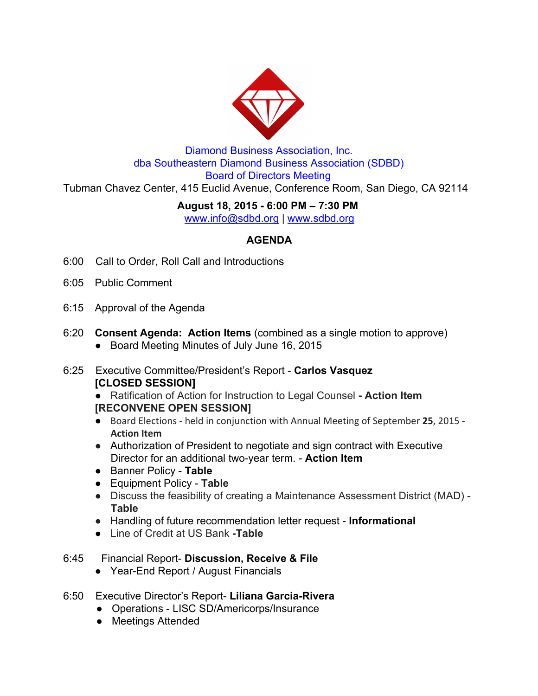

# Diamond Business Association, Inc. dba Southeastern Diamond Business Association (SDBD) Board of Directors Meeting Tubman Chavez Center, 415 Euclid Avenue, Conference Room, San Diego, CA 92114

## August 18, 2015 6:00 PM – 7:30 PM

www.info@sdbd.org | [www.sdbd.org](http://www.sdbd.org/)

### AGENDA

- 6:00 Call to Order, Roll Call and Introductions
- 6:05 Public Comment
- 6:15 Approval of the Agenda
- 6:20 Consent Agenda: Action Items (combined as a single motion to approve) ● Board Meeting Minutes of July June 16, 2015
- 6:25 Executive Committee/President's Report Carlos Vasquez [CLOSED SESSION]
	- Ratification of Action for Instruction to Legal Counsel Action Item [RECONVENE OPEN SESSION]
	- Board Elections held in conjunction with Annual Meeting of September 25, 2015 -Action Item
	- Authorization of President to negotiate and sign contract with Executive Director for an additional two-year term. - Action Item
	- Banner Policy Table
	- Equipment Policy Table
	- Discuss the feasibility of creating a Maintenance Assessment District (MAD) -Table
	- Handling of future recommendation letter request Informational
	- Line of Credit at US Bank -Table

#### 6:45 Financial Report- Discussion, Receive & File

- Year-End Report / August Financials
- 6:50 Executive Director's Report- Liliana Garcia-Rivera
	- Operations LISC SD/Americorps/Insurance
	- Meetings Attended